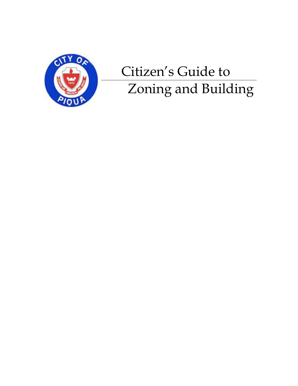

## Citizen's Guide to Zoning and Building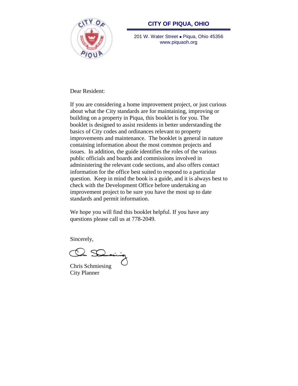

#### **CITY OF PIQUA, OHIO**

201 W. Water Street . Piqua, Ohio 45356 www.piquaoh.org

Dear Resident:

If you are considering a home improvement project, or just curious about what the City standards are for maintaining, improving or building on a property in Piqua, this booklet is for you. The booklet is designed to assist residents in better understanding the basics of City codes and ordinances relevant to property improvements and maintenance. The booklet is general in nature containing information about the most common projects and issues. In addition, the guide identifies the roles of the various public officials and boards and commissions involved in administering the relevant code sections, and also offers contact information for the office best suited to respond to a particular question. Keep in mind the book is a guide, and it is always best to check with the Development Office before undertaking an improvement project to be sure you have the most up to date standards and permit information.

We hope you will find this booklet helpful. If you have any questions please call us at 778-2049.

Sincerely,

Chris Schmiesing City Planner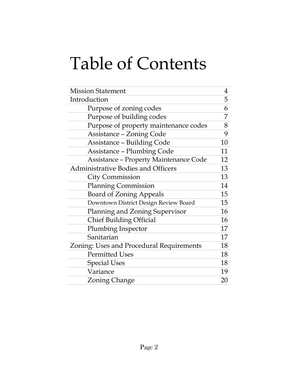# Table of Contents

| <b>Mission Statement</b>                      | 4  |
|-----------------------------------------------|----|
| Introduction                                  | 5  |
| Purpose of zoning codes                       | 6  |
| Purpose of building codes                     | 7  |
| Purpose of property maintenance codes         | 8  |
| <b>Assistance - Zoning Code</b>               | 9  |
| <b>Assistance - Building Code</b>             | 10 |
| <b>Assistance - Plumbing Code</b>             | 11 |
| <b>Assistance - Property Maintenance Code</b> | 12 |
| <b>Administrative Bodies and Officers</b>     | 13 |
| <b>City Commission</b>                        | 13 |
| <b>Planning Commission</b>                    | 14 |
| <b>Board of Zoning Appeals</b>                | 15 |
| Downtown District Design Review Board         | 15 |
| Planning and Zoning Supervisor                | 16 |
| <b>Chief Building Official</b>                | 16 |
| Plumbing Inspector                            | 17 |
| Sanitarian                                    | 17 |
| Zoning: Uses and Procedural Requirements      | 18 |
| <b>Permitted Uses</b>                         | 18 |
| <b>Special Uses</b>                           | 18 |
| Variance                                      | 19 |
| <b>Zoning Change</b>                          | 20 |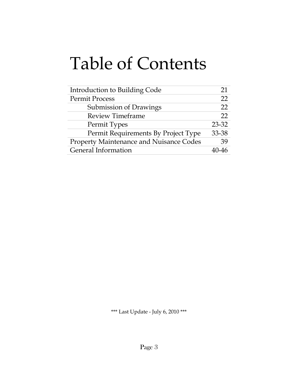## Table of Contents

| Introduction to Building Code                  | 21    |
|------------------------------------------------|-------|
| <b>Permit Process</b>                          | 22    |
| Submission of Drawings                         | 22    |
| <b>Review Timeframe</b>                        | 22    |
| Permit Types                                   | 23-32 |
| Permit Requirements By Project Type            | 33-38 |
| <b>Property Maintenance and Nuisance Codes</b> | 39    |
| <b>General Information</b>                     |       |

\*\*\* Last Update - July 6, 2010 \*\*\*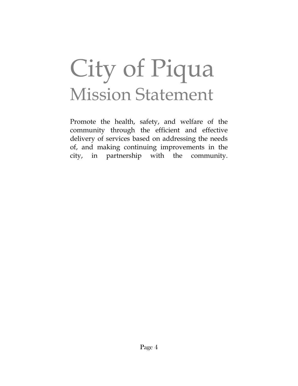# City of Piqua Mission Statement

Promote the health, safety, and welfare of the community through the efficient and effective delivery of services based on addressing the needs of, and making continuing improvements in the city, in partnership with the community.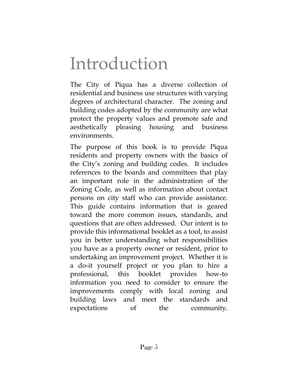## Introduction

The City of Piqua has a diverse collection of residential and business use structures with varying degrees of architectural character. The zoning and building codes adopted by the community are what protect the property values and promote safe and aesthetically pleasing housing and business environments.

The purpose of this book is to provide Piqua residents and property owners with the basics of the City's zoning and building codes. It includes references to the boards and committees that play an important role in the administration of the Zoning Code, as well as information about contact persons on city staff who can provide assistance. This guide contains information that is geared toward the more common issues, standards, and questions that are often addressed. Our intent is to provide this informational booklet as a tool, to assist you in better understanding what responsibilities you have as a property owner or resident, prior to undertaking an improvement project. Whether it is a do-it yourself project or you plan to hire a professional, this booklet provides how-to information you need to consider to ensure the improvements comply with local zoning and building laws and meet the standards and expectations of the community.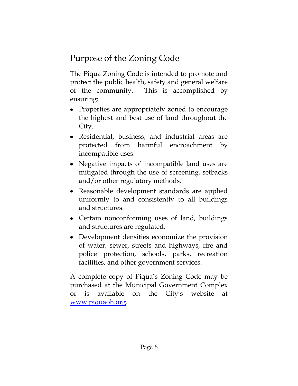## Purpose of the Zoning Code

The Piqua Zoning Code is intended to promote and protect the public health, safety and general welfare of the community. This is accomplished by ensuring:

- Properties are appropriately zoned to encourage the highest and best use of land throughout the City.
- Residential, business, and industrial areas are protected from harmful encroachment by incompatible uses.
- Negative impacts of incompatible land uses are mitigated through the use of screening, setbacks and/or other regulatory methods.
- Reasonable development standards are applied uniformly to and consistently to all buildings and structures.
- Certain nonconforming uses of land, buildings and structures are regulated.
- Development densities economize the provision of water, sewer, streets and highways, fire and police protection, schools, parks, recreation facilities, and other government services.

A complete copy of Piqua's Zoning Code may be purchased at the Municipal Government Complex or is available on the City's website at [www.piquaoh.org.](http://www.piquaoh.org/)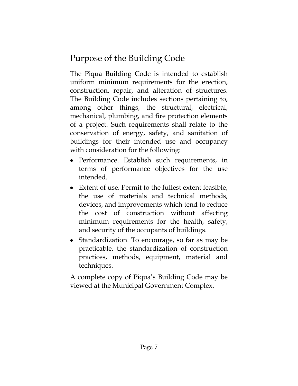## Purpose of the Building Code

The Piqua Building Code is intended to establish uniform minimum requirements for the erection, construction, repair, and alteration of structures. The Building Code includes sections pertaining to, among other things, the structural, electrical, mechanical, plumbing, and fire protection elements of a project. Such requirements shall relate to the conservation of energy, safety, and sanitation of buildings for their intended use and occupancy with consideration for the following:

- Performance. Establish such requirements, in terms of performance objectives for the use intended.
- Extent of use. Permit to the fullest extent feasible, the use of materials and technical methods, devices, and improvements which tend to reduce the cost of construction without affecting minimum requirements for the health, safety, and security of the occupants of buildings.
- Standardization. To encourage, so far as may be practicable, the standardization of construction practices, methods, equipment, material and techniques.

A complete copy of Piqua's Building Code may be viewed at the Municipal Government Complex.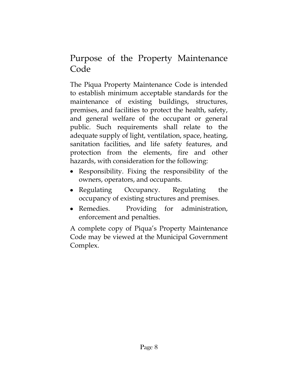#### Purpose of the Property Maintenance Code

The Piqua Property Maintenance Code is intended to establish minimum acceptable standards for the maintenance of existing buildings, structures, premises, and facilities to protect the health, safety, and general welfare of the occupant or general public. Such requirements shall relate to the adequate supply of light, ventilation, space, heating, sanitation facilities, and life safety features, and protection from the elements, fire and other hazards, with consideration for the following:

- Responsibility. Fixing the responsibility of the owners, operators, and occupants.
- Regulating Occupancy. Regulating the occupancy of existing structures and premises.
- Remedies. Providing for administration, enforcement and penalties.

A complete copy of Piqua's Property Maintenance Code may be viewed at the Municipal Government Complex.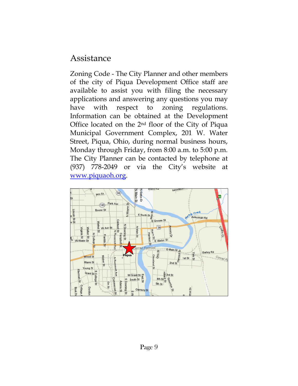#### Assistance

Zoning Code - The City Planner and other members of the city of Piqua Development Office staff are available to assist you with filing the necessary applications and answering any questions you may have with respect to zoning regulations. Information can be obtained at the Development Office located on the 2nd floor of the City of Piqua Municipal Government Complex, 201 W. Water Street, Piqua, Ohio, during normal business hours, Monday through Friday, from 8:00 a.m. to 5:00 p.m. The City Planner can be contacted by telephone at (937) 778-2049 or via the City's website at [www.piquaoh.org.](http://www.piquaoh.org/)

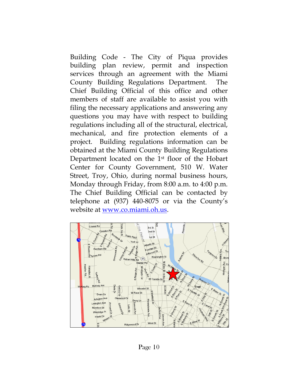Building Code - The City of Piqua provides building plan review, permit and inspection services through an agreement with the Miami County Building Regulations Department. The Chief Building Official of this office and other members of staff are available to assist you with filing the necessary applications and answering any questions you may have with respect to building regulations including all of the structural, electrical, mechanical, and fire protection elements of a project. Building regulations information can be obtained at the Miami County Building Regulations Department located on the 1st floor of the Hobart Center for County Government, 510 W. Water Street, Troy, Ohio, during normal business hours, Monday through Friday, from 8:00 a.m. to 4:00 p.m. The Chief Building Official can be contacted by telephone at (937) 440-8075 or via the County's website at [www.co.miami.oh.us.](http://www.co.miami.oh.us/)

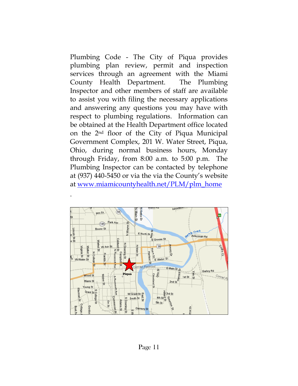Plumbing Code - The City of Piqua provides plumbing plan review, permit and inspection services through an agreement with the Miami County Health Department. The Plumbing Inspector and other members of staff are available to assist you with filing the necessary applications and answering any questions you may have with respect to plumbing regulations. Information can be obtained at the Health Department office located on the 2nd floor of the City of Piqua Municipal Government Complex, 201 W. Water Street, Piqua, Ohio, during normal business hours, Monday through Friday, from 8:00 a.m. to 5:00 p.m. The Plumbing Inspector can be contacted by telephone at (937) 440-5450 or via the via the County's website at [www.miamicountyhealth.net/PLM/plm\\_home](http://www.miamicountyhealth.net/PLM/plm_home)



.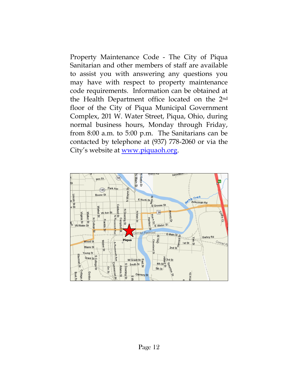Property Maintenance Code - The City of Piqua Sanitarian and other members of staff are available to assist you with answering any questions you may have with respect to property maintenance code requirements. Information can be obtained at the Health Department office located on the 2nd floor of the City of Piqua Municipal Government Complex, 201 W. Water Street, Piqua, Ohio, during normal business hours, Monday through Friday, from 8:00 a.m. to 5:00 p.m. The Sanitarians can be contacted by telephone at (937) 778-2060 or via the City's website at [www.piquaoh.org.](http://www.piquaoh.org/)

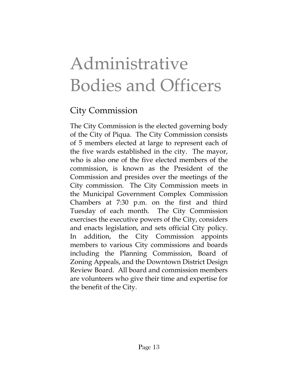# Administrative Bodies and Officers

#### City Commission

The City Commission is the elected governing body of the City of Piqua. The City Commission consists of 5 members elected at large to represent each of the five wards established in the city. The mayor, who is also one of the five elected members of the commission, is known as the President of the Commission and presides over the meetings of the City commission. The City Commission meets in the Municipal Government Complex Commission Chambers at 7:30 p.m. on the first and third Tuesday of each month. The City Commission exercises the executive powers of the City, considers and enacts legislation, and sets official City policy. In addition, the City Commission appoints members to various City commissions and boards including the Planning Commission, Board of Zoning Appeals, and the Downtown District Design Review Board. All board and commission members are volunteers who give their time and expertise for the benefit of the City.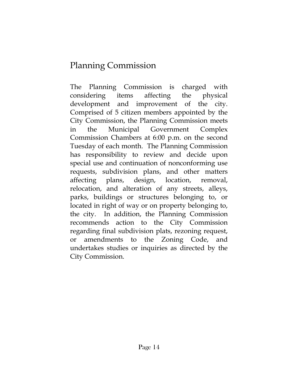#### Planning Commission

The Planning Commission is charged with considering items affecting the physical development and improvement of the city. Comprised of 5 citizen members appointed by the City Commission, the Planning Commission meets in the Municipal Government Complex Commission Chambers at 6:00 p.m. on the second Tuesday of each month. The Planning Commission has responsibility to review and decide upon special use and continuation of nonconforming use requests, subdivision plans, and other matters affecting plans, design, location, removal, relocation, and alteration of any streets, alleys, parks, buildings or structures belonging to, or located in right of way or on property belonging to, the city. In addition, the Planning Commission recommends action to the City Commission regarding final subdivision plats, rezoning request, or amendments to the Zoning Code, and undertakes studies or inquiries as directed by the City Commission.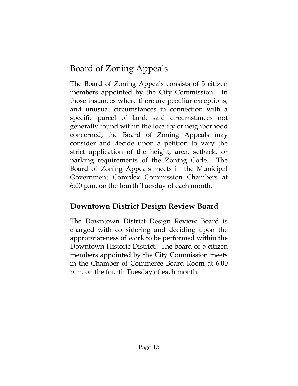#### Board of Zoning Appeals

The Board of Zoning Appeals consists of 5 citizen members appointed by the City Commission. In those instances where there are peculiar exceptions, and unusual circumstances in connection with a specific parcel of land, said circumstances not generally found within the locality or neighborhood concerned, the Board of Zoning Appeals may consider and decide upon a petition to vary the strict application of the height, area, setback, or parking requirements of the Zoning Code. The Board of Zoning Appeals meets in the Municipal Government Complex Commission Chambers at 6:00 p.m. on the fourth Tuesday of each month.

#### **Downtown District Design Review Board**

The Downtown District Design Review Board is charged with considering and deciding upon the appropriateness of work to be performed within the Downtown Historic District. The board of 5 citizen members appointed by the City Commission meets in the Chamber of Commerce Board Room at 6:00 p.m. on the fourth Tuesday of each month.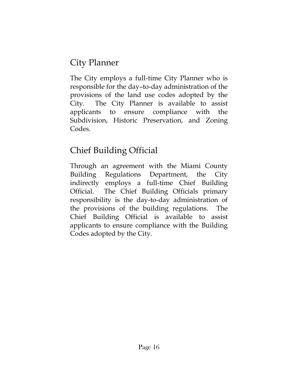#### City Planner

The City employs a full-time City Planner who is responsible for the day–to-day administration of the provisions of the land use codes adopted by the City. The City Planner is available to assist applicants to ensure compliance with the Subdivision, Historic Preservation, and Zoning Codes.

## Chief Building Official

Through an agreement with the Miami County Building Regulations Department, the City indirectly employs a full-time Chief Building Official. The Chief Building Officials primary responsibility is the day-to-day administration of the provisions of the building regulations. The Chief Building Official is available to assist applicants to ensure compliance with the Building Codes adopted by the City.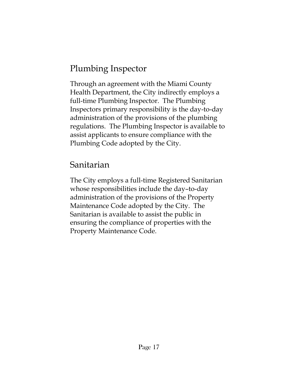#### Plumbing Inspector

Through an agreement with the Miami County Health Department, the City indirectly employs a full-time Plumbing Inspector. The Plumbing Inspectors primary responsibility is the day-to-day administration of the provisions of the plumbing regulations. The Plumbing Inspector is available to assist applicants to ensure compliance with the Plumbing Code adopted by the City.

#### Sanitarian

The City employs a full-time Registered Sanitarian whose responsibilities include the day–to-day administration of the provisions of the Property Maintenance Code adopted by the City. The Sanitarian is available to assist the public in ensuring the compliance of properties with the Property Maintenance Code.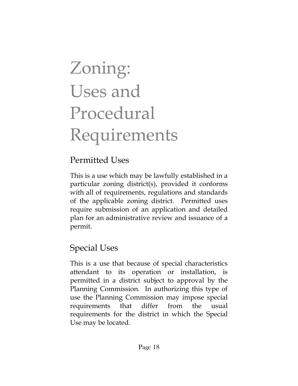# Zoning: Uses and Procedural Requirements

#### Permitted Uses

This is a use which may be lawfully established in a particular zoning district(s), provided it conforms with all of requirements, regulations and standards of the applicable zoning district. Permitted uses require submission of an application and detailed plan for an administrative review and issuance of a permit.

## Special Uses

This is a use that because of special characteristics attendant to its operation or installation, is permitted in a district subject to approval by the Planning Commission. In authorizing this type of use the Planning Commission may impose special requirements that differ from the usual requirements for the district in which the Special Use may be located.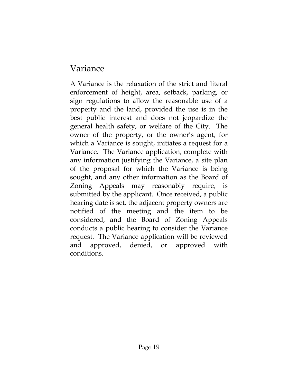#### Variance

A Variance is the relaxation of the strict and literal enforcement of height, area, setback, parking, or sign regulations to allow the reasonable use of a property and the land, provided the use is in the best public interest and does not jeopardize the general health safety, or welfare of the City. The owner of the property, or the owner's agent, for which a Variance is sought, initiates a request for a Variance. The Variance application, complete with any information justifying the Variance, a site plan of the proposal for which the Variance is being sought, and any other information as the Board of Zoning Appeals may reasonably require, is submitted by the applicant. Once received, a public hearing date is set, the adjacent property owners are notified of the meeting and the item to be considered, and the Board of Zoning Appeals conducts a public hearing to consider the Variance request. The Variance application will be reviewed and approved, denied, or approved with conditions.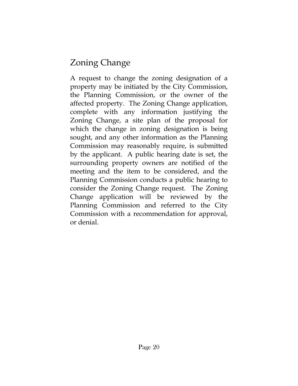#### Zoning Change

A request to change the zoning designation of a property may be initiated by the City Commission, the Planning Commission, or the owner of the affected property. The Zoning Change application, complete with any information justifying the Zoning Change, a site plan of the proposal for which the change in zoning designation is being sought, and any other information as the Planning Commission may reasonably require, is submitted by the applicant. A public hearing date is set, the surrounding property owners are notified of the meeting and the item to be considered, and the Planning Commission conducts a public hearing to consider the Zoning Change request. The Zoning Change application will be reviewed by the Planning Commission and referred to the City Commission with a recommendation for approval, or denial.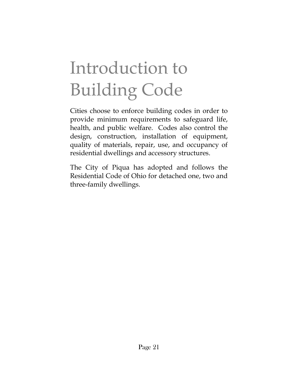# Introduction to Building Code

Cities choose to enforce building codes in order to provide minimum requirements to safeguard life, health, and public welfare. Codes also control the design, construction, installation of equipment, quality of materials, repair, use, and occupancy of residential dwellings and accessory structures.

The City of Piqua has adopted and follows the Residential Code of Ohio for detached one, two and three-family dwellings.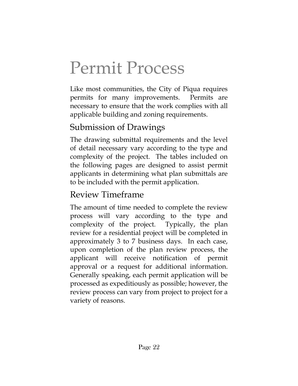# Permit Process

Like most communities, the City of Piqua requires permits for many improvements. Permits are necessary to ensure that the work complies with all applicable building and zoning requirements.

#### Submission of Drawings

The drawing submittal requirements and the level of detail necessary vary according to the type and complexity of the project. The tables included on the following pages are designed to assist permit applicants in determining what plan submittals are to be included with the permit application.

#### Review Timeframe

The amount of time needed to complete the review process will vary according to the type and complexity of the project. Typically, the plan review for a residential project will be completed in approximately 3 to 7 business days. In each case, upon completion of the plan review process, the applicant will receive notification of permit approval or a request for additional information. Generally speaking, each permit application will be processed as expeditiously as possible; however, the review process can vary from project to project for a variety of reasons.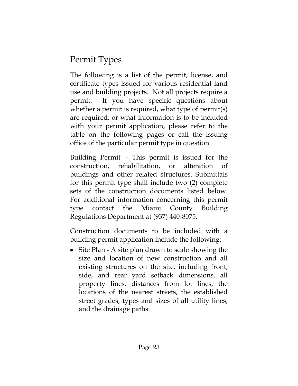#### Permit Types

The following is a list of the permit, license, and certificate types issued for various residential land use and building projects. Not all projects require a permit. If you have specific questions about whether a permit is required, what type of permit(s) are required, or what information is to be included with your permit application, please refer to the table on the following pages or call the issuing office of the particular permit type in question.

Building Permit – This permit is issued for the construction, rehabilitation, or alteration of buildings and other related structures. Submittals for this permit type shall include two (2) complete sets of the construction documents listed below. For additional information concerning this permit type contact the Miami County Building Regulations Department at (937) 440-8075.

Construction documents to be included with a building permit application include the following:

• Site Plan - A site plan drawn to scale showing the size and location of new construction and all existing structures on the site, including front, side, and rear yard setback dimensions, all property lines, distances from lot lines, the locations of the nearest streets, the established street grades, types and sizes of all utility lines, and the drainage paths.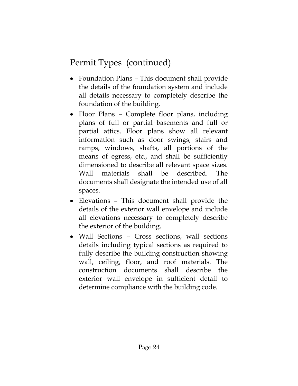- Foundation Plans This document shall provide the details of the foundation system and include all details necessary to completely describe the foundation of the building.
- Floor Plans Complete floor plans, including plans of full or partial basements and full or partial attics. Floor plans show all relevant information such as door swings, stairs and ramps, windows, shafts, all portions of the means of egress, etc., and shall be sufficiently dimensioned to describe all relevant space sizes. Wall materials shall be described. The documents shall designate the intended use of all spaces.
- Elevations This document shall provide the details of the exterior wall envelope and include all elevations necessary to completely describe the exterior of the building.
- Wall Sections Cross sections, wall sections details including typical sections as required to fully describe the building construction showing wall, ceiling, floor, and roof materials. The construction documents shall describe the exterior wall envelope in sufficient detail to determine compliance with the building code.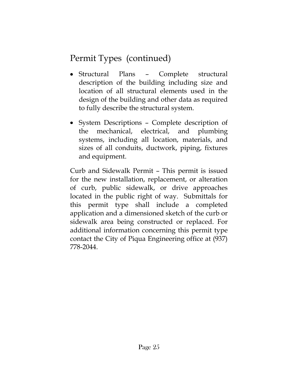- Structural Plans Complete structural description of the building including size and location of all structural elements used in the design of the building and other data as required to fully describe the structural system.
- System Descriptions Complete description of the mechanical, electrical, and plumbing systems, including all location, materials, and sizes of all conduits, ductwork, piping, fixtures and equipment.

Curb and Sidewalk Permit – This permit is issued for the new installation, replacement, or alteration of curb, public sidewalk, or drive approaches located in the public right of way. Submittals for this permit type shall include a completed application and a dimensioned sketch of the curb or sidewalk area being constructed or replaced. For additional information concerning this permit type contact the City of Piqua Engineering office at (937) 778-2044.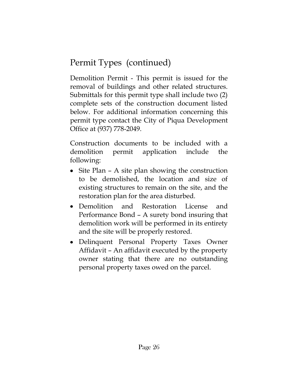Demolition Permit - This permit is issued for the removal of buildings and other related structures. Submittals for this permit type shall include two (2) complete sets of the construction document listed below. For additional information concerning this permit type contact the City of Piqua Development Office at (937) 778-2049.

Construction documents to be included with a demolition permit application include the following:

- Site Plan A site plan showing the construction to be demolished, the location and size of existing structures to remain on the site, and the restoration plan for the area disturbed.
- Demolition and Restoration License and Performance Bond – A surety bond insuring that demolition work will be performed in its entirety and the site will be properly restored.
- Delinquent Personal Property Taxes Owner Affidavit – An affidavit executed by the property owner stating that there are no outstanding personal property taxes owed on the parcel.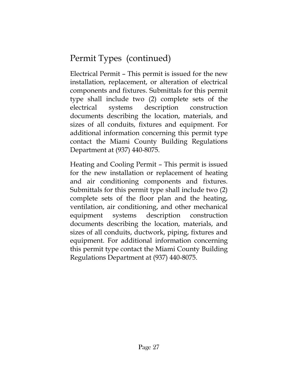Electrical Permit – This permit is issued for the new installation, replacement, or alteration of electrical components and fixtures. Submittals for this permit type shall include two (2) complete sets of the electrical systems description construction documents describing the location, materials, and sizes of all conduits, fixtures and equipment. For additional information concerning this permit type contact the Miami County Building Regulations Department at (937) 440-8075.

Heating and Cooling Permit – This permit is issued for the new installation or replacement of heating and air conditioning components and fixtures. Submittals for this permit type shall include two (2) complete sets of the floor plan and the heating, ventilation, air conditioning, and other mechanical equipment systems description construction documents describing the location, materials, and sizes of all conduits, ductwork, piping, fixtures and equipment. For additional information concerning this permit type contact the Miami County Building Regulations Department at (937) 440-8075.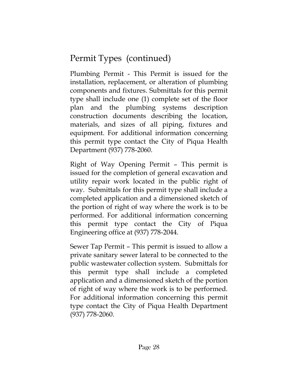Plumbing Permit - This Permit is issued for the installation, replacement, or alteration of plumbing components and fixtures. Submittals for this permit type shall include one (1) complete set of the floor plan and the plumbing systems description construction documents describing the location, materials, and sizes of all piping, fixtures and equipment. For additional information concerning this permit type contact the City of Piqua Health Department (937) 778-2060.

Right of Way Opening Permit – This permit is issued for the completion of general excavation and utility repair work located in the public right of way. Submittals for this permit type shall include a completed application and a dimensioned sketch of the portion of right of way where the work is to be performed. For additional information concerning this permit type contact the City of Piqua Engineering office at (937) 778-2044.

Sewer Tap Permit – This permit is issued to allow a private sanitary sewer lateral to be connected to the public wastewater collection system. Submittals for this permit type shall include a completed application and a dimensioned sketch of the portion of right of way where the work is to be performed. For additional information concerning this permit type contact the City of Piqua Health Department (937) 778-2060.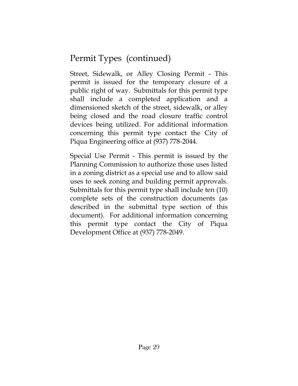Street, Sidewalk, or Alley Closing Permit - This permit is issued for the temporary closure of a public right of way. Submittals for this permit type shall include a completed application and a dimensioned sketch of the street, sidewalk, or alley being closed and the road closure traffic control devices being utilized. For additional information concerning this permit type contact the City of Piqua Engineering office at (937) 778-2044.

Special Use Permit - This permit is issued by the Planning Commission to authorize those uses listed in a zoning district as a special use and to allow said uses to seek zoning and building permit approvals. Submittals for this permit type shall include ten (10) complete sets of the construction documents (as described in the submittal type section of this document). For additional information concerning this permit type contact the City of Piqua Development Office at (937) 778-2049.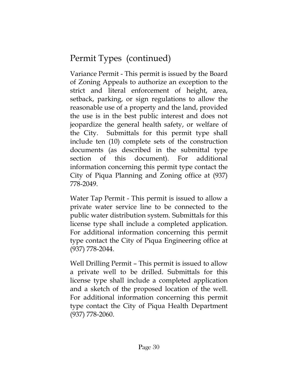Variance Permit - This permit is issued by the Board of Zoning Appeals to authorize an exception to the strict and literal enforcement of height, area, setback, parking, or sign regulations to allow the reasonable use of a property and the land, provided the use is in the best public interest and does not jeopardize the general health safety, or welfare of the City. Submittals for this permit type shall include ten (10) complete sets of the construction documents (as described in the submittal type section of this document). For additional information concerning this permit type contact the City of Piqua Planning and Zoning office at (937) 778-2049.

Water Tap Permit - This permit is issued to allow a private water service line to be connected to the public water distribution system. Submittals for this license type shall include a completed application. For additional information concerning this permit type contact the City of Piqua Engineering office at (937) 778-2044.

Well Drilling Permit – This permit is issued to allow a private well to be drilled. Submittals for this license type shall include a completed application and a sketch of the proposed location of the well. For additional information concerning this permit type contact the City of Piqua Health Department (937) 778-2060.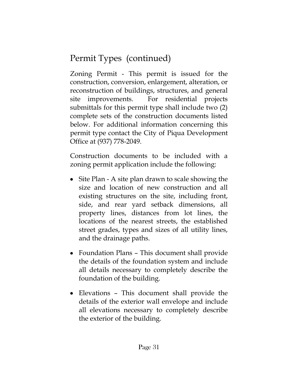Zoning Permit - This permit is issued for the construction, conversion, enlargement, alteration, or reconstruction of buildings, structures, and general site improvements. For residential projects submittals for this permit type shall include two (2) complete sets of the construction documents listed below. For additional information concerning this permit type contact the City of Piqua Development Office at (937) 778-2049.

Construction documents to be included with a zoning permit application include the following:

- Site Plan A site plan drawn to scale showing the size and location of new construction and all existing structures on the site, including front, side, and rear yard setback dimensions, all property lines, distances from lot lines, the locations of the nearest streets, the established street grades, types and sizes of all utility lines, and the drainage paths.
- Foundation Plans This document shall provide the details of the foundation system and include all details necessary to completely describe the foundation of the building.
- Elevations This document shall provide the details of the exterior wall envelope and include all elevations necessary to completely describe the exterior of the building.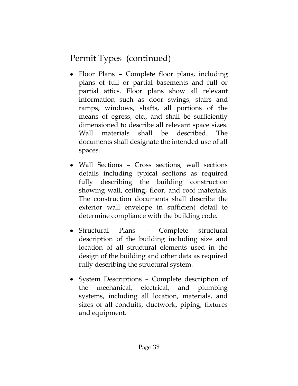- Floor Plans Complete floor plans, including plans of full or partial basements and full or partial attics. Floor plans show all relevant information such as door swings, stairs and ramps, windows, shafts, all portions of the means of egress, etc., and shall be sufficiently dimensioned to describe all relevant space sizes. Wall materials shall be described. The documents shall designate the intended use of all spaces.
- Wall Sections Cross sections, wall sections details including typical sections as required fully describing the building construction showing wall, ceiling, floor, and roof materials. The construction documents shall describe the exterior wall envelope in sufficient detail to determine compliance with the building code.
- Structural Plans Complete structural description of the building including size and location of all structural elements used in the design of the building and other data as required fully describing the structural system.
- System Descriptions Complete description of the mechanical, electrical, and plumbing systems, including all location, materials, and sizes of all conduits, ductwork, piping, fixtures and equipment.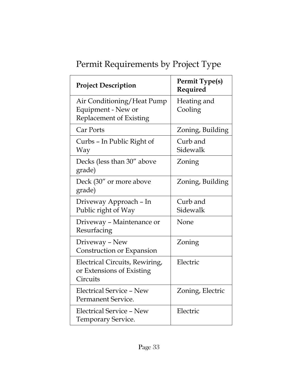| <b>Project Description</b>                                                  | <b>Permit Type(s)</b><br>Required |
|-----------------------------------------------------------------------------|-----------------------------------|
| Air Conditioning/Heat Pump<br>Equipment - New or<br>Replacement of Existing | Heating and<br>Cooling            |
| Car Ports                                                                   | Zoning, Building                  |
| Curbs – In Public Right of<br>Way                                           | Curb and<br>Sidewalk              |
| Decks (less than 30" above<br>grade)                                        | Zoning                            |
| Deck (30" or more above<br>grade)                                           | Zoning, Building                  |
| Driveway Approach - In<br>Public right of Way                               | Curb and<br>Sidewalk              |
| Driveway - Maintenance or<br>Resurfacing                                    | None                              |
| Driveway - New<br>Construction or Expansion                                 | Zoning                            |
| Electrical Circuits, Rewiring,<br>or Extensions of Existing<br>Circuits     | Electric                          |
| <b>Electrical Service - New</b><br>Permanent Service.                       | Zoning, Electric                  |
| Electrical Service - New<br><b>Temporary Service.</b>                       | Electric                          |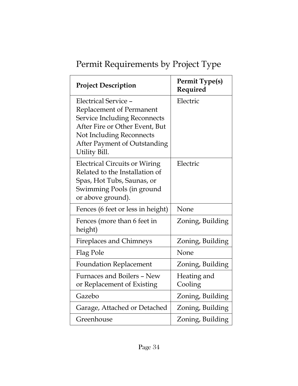| <b>Project Description</b>                                            | <b>Permit Type(s)</b><br>Required |
|-----------------------------------------------------------------------|-----------------------------------|
| Electrical Service -                                                  | Electric                          |
| Replacement of Permanent                                              |                                   |
| <b>Service Including Reconnects</b><br>After Fire or Other Event, But |                                   |
| <b>Not Including Reconnects</b>                                       |                                   |
| After Payment of Outstanding                                          |                                   |
| Utility Bill.                                                         |                                   |
| <b>Electrical Circuits or Wiring</b>                                  | Electric                          |
| Related to the Installation of                                        |                                   |
| Spas, Hot Tubs, Saunas, or                                            |                                   |
| Swimming Pools (in ground                                             |                                   |
| or above ground).                                                     |                                   |
| Fences (6 feet or less in height)                                     | None                              |
| Fences (more than 6 feet in                                           | Zoning, Building                  |
| height)                                                               |                                   |
| <b>Fireplaces and Chimneys</b>                                        | Zoning, Building                  |
| Flag Pole                                                             | None                              |
| <b>Foundation Replacement</b>                                         | Zoning, Building                  |
| Furnaces and Boilers - New                                            | Heating and                       |
| or Replacement of Existing                                            | Cooling                           |
| Gazebo                                                                | Zoning, Building                  |
| Garage, Attached or Detached                                          | Zoning, Building                  |
| Greenhouse                                                            | Zoning, Building                  |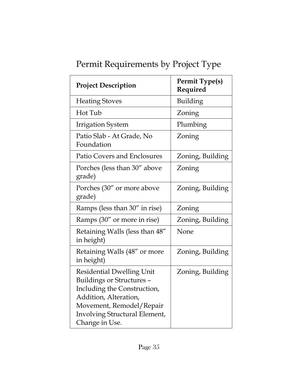| Permit Requirements by Project Type |  |  |
|-------------------------------------|--|--|
|                                     |  |  |
|                                     |  |  |

| <b>Project Description</b>                                                                                                                                                                           | <b>Permit Type(s)</b><br>Required |
|------------------------------------------------------------------------------------------------------------------------------------------------------------------------------------------------------|-----------------------------------|
| <b>Heating Stoves</b>                                                                                                                                                                                | Building                          |
| Hot Tub                                                                                                                                                                                              | Zoning                            |
| <b>Irrigation System</b>                                                                                                                                                                             | Plumbing                          |
| Patio Slab - At Grade, No<br>Foundation                                                                                                                                                              | Zoning                            |
| <b>Patio Covers and Enclosures</b>                                                                                                                                                                   | Zoning, Building                  |
| Porches (less than 30" above<br>grade)                                                                                                                                                               | Zoning                            |
| Porches (30" or more above<br>grade)                                                                                                                                                                 | Zoning, Building                  |
| Ramps (less than 30" in rise)                                                                                                                                                                        | Zoning                            |
| Ramps (30" or more in rise)                                                                                                                                                                          | Zoning, Building                  |
| Retaining Walls (less than 48"<br>in height)                                                                                                                                                         | None                              |
| Retaining Walls (48" or more<br>in height)                                                                                                                                                           | Zoning, Building                  |
| <b>Residential Dwelling Unit</b><br>Buildings or Structures -<br>Including the Construction,<br>Addition, Alteration,<br>Movement, Remodel/Repair<br>Involving Structural Element,<br>Change in Use. | Zoning, Building                  |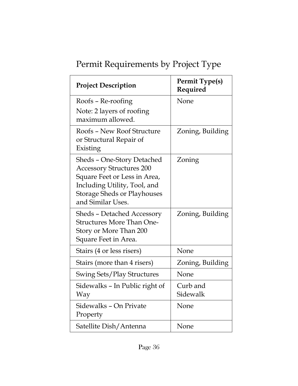| <b>Project Description</b>                                                                                                                                                               | <b>Permit Type(s)</b><br>Required |
|------------------------------------------------------------------------------------------------------------------------------------------------------------------------------------------|-----------------------------------|
| Roofs - Re-roofing                                                                                                                                                                       | None                              |
| Note: 2 layers of roofing<br>maximum allowed.                                                                                                                                            |                                   |
| Roofs - New Roof Structure<br>or Structural Repair of<br>Existing                                                                                                                        | Zoning, Building                  |
| Sheds - One-Story Detached<br><b>Accessory Structures 200</b><br>Square Feet or Less in Area,<br>Including Utility, Tool, and<br><b>Storage Sheds or Playhouses</b><br>and Similar Uses. | Zoning                            |
| <b>Sheds - Detached Accessory</b><br><b>Structures More Than One-</b><br>Story or More Than 200<br>Square Feet in Area.                                                                  | Zoning, Building                  |
| Stairs (4 or less risers)                                                                                                                                                                | None                              |
| Stairs (more than 4 risers)                                                                                                                                                              | Zoning, Building                  |
| <b>Swing Sets/Play Structures</b>                                                                                                                                                        | None                              |
| Sidewalks – In Public right of<br>Way                                                                                                                                                    | Curb and<br>Sidewalk              |
| Sidewalks - On Private<br>Property                                                                                                                                                       | None                              |
| Satellite Dish/Antenna                                                                                                                                                                   | None                              |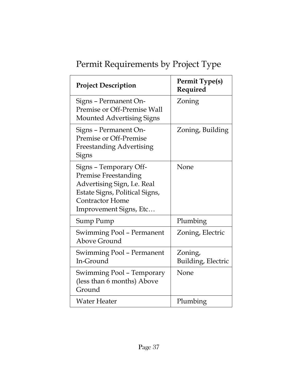| <b>Project Description</b>                                                                                                                                                 | <b>Permit Type(s)</b><br>Required |
|----------------------------------------------------------------------------------------------------------------------------------------------------------------------------|-----------------------------------|
| Signs - Permanent On-<br>Premise or Off-Premise Wall<br><b>Mounted Advertising Signs</b>                                                                                   | Zoning                            |
| Signs - Permanent On-<br>Premise or Off-Premise<br><b>Freestanding Advertising</b><br>Signs                                                                                | Zoning, Building                  |
| Signs - Temporary Off-<br><b>Premise Freestanding</b><br>Advertising Sign, I.e. Real<br>Estate Signs, Political Signs,<br><b>Contractor Home</b><br>Improvement Signs, Etc | None                              |
| Sump Pump                                                                                                                                                                  | Plumbing                          |
| <b>Swimming Pool - Permanent</b><br>Above Ground                                                                                                                           | Zoning, Electric                  |
| <b>Swimming Pool - Permanent</b><br>In-Ground                                                                                                                              | Zoning,<br>Building, Electric     |
| Swimming Pool – Temporary<br>(less than 6 months) Above<br>Ground                                                                                                          | None                              |
| Water Heater                                                                                                                                                               | Plumbing                          |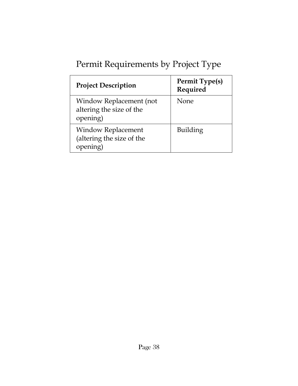| <b>Project Description</b>                                         | <b>Permit Type(s)</b><br>Required |
|--------------------------------------------------------------------|-----------------------------------|
| Window Replacement (not<br>altering the size of the<br>opening)    | None                              |
| <b>Window Replacement</b><br>(altering the size of the<br>opening) | Building                          |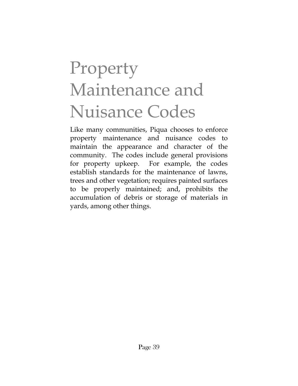# Property Maintenance and Nuisance Codes

Like many communities, Piqua chooses to enforce property maintenance and nuisance codes to maintain the appearance and character of the community. The codes include general provisions for property upkeep. For example, the codes establish standards for the maintenance of lawns, trees and other vegetation; requires painted surfaces to be properly maintained; and, prohibits the accumulation of debris or storage of materials in yards, among other things.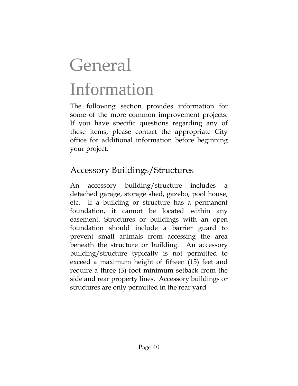# **General** Information

The following section provides information for some of the more common improvement projects. If you have specific questions regarding any of these items, please contact the appropriate City office for additional information before beginning your project.

#### Accessory Buildings/Structures

An accessory building/structure includes a detached garage, storage shed, gazebo, pool house, etc. If a building or structure has a permanent foundation, it cannot be located within any easement. Structures or buildings with an open foundation should include a barrier guard to prevent small animals from accessing the area beneath the structure or building. An accessory building/structure typically is not permitted to exceed a maximum height of fifteen (15) feet and require a three (3) foot minimum setback from the side and rear property lines. Accessory buildings or structures are only permitted in the rear yard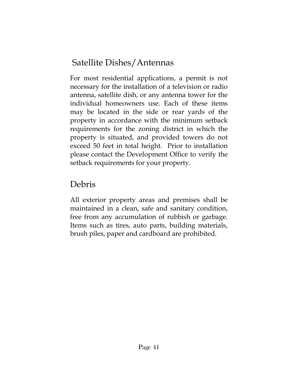#### Satellite Dishes/Antennas

For most residential applications, a permit is not necessary for the installation of a television or radio antenna, satellite dish, or any antenna tower for the individual homeowners use. Each of these items may be located in the side or rear yards of the property in accordance with the minimum setback requirements for the zoning district in which the property is situated, and provided towers do not exceed 50 feet in total height. Prior to installation please contact the Development Office to verify the setback requirements for your property.

#### Debris

All exterior property areas and premises shall be maintained in a clean, safe and sanitary condition, free from any accumulation of rubbish or garbage. Items such as tires, auto parts, building materials, brush piles, paper and cardboard are prohibited.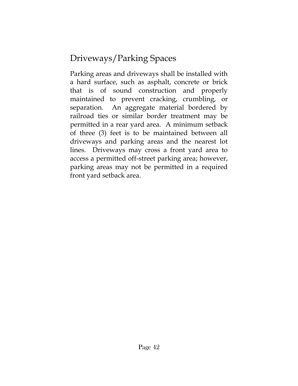## Driveways/Parking Spaces

Parking areas and driveways shall be installed with a hard surface, such as asphalt, concrete or brick that is of sound construction and properly maintained to prevent cracking, crumbling, or separation. An aggregate material bordered by railroad ties or similar border treatment may be permitted in a rear yard area. A minimum setback of three (3) feet is to be maintained between all driveways and parking areas and the nearest lot lines. Driveways may cross a front yard area to access a permitted off-street parking area; however, parking areas may not be permitted in a required front yard setback area.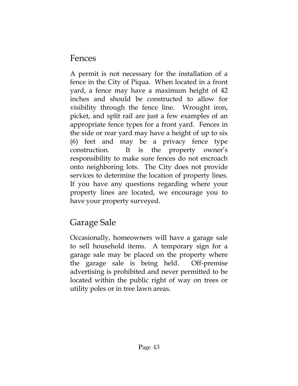#### Fences

A permit is not necessary for the installation of a fence in the City of Piqua. When located in a front yard, a fence may have a maximum height of 42 inches and should be constructed to allow for visibility through the fence line. Wrought iron, picket, and split rail are just a few examples of an appropriate fence types for a front yard. Fences in the side or rear yard may have a height of up to six (6) feet and may be a privacy fence type construction. It is the property owner's responsibility to make sure fences do not encroach onto neighboring lots. The City does not provide services to determine the location of property lines. If you have any questions regarding where your property lines are located, we encourage you to have your property surveyed.

## Garage Sale

Occasionally, homeowners will have a garage sale to sell household items. A temporary sign for a garage sale may be placed on the property where the garage sale is being held. Off-premise advertising is prohibited and never permitted to be located within the public right of way on trees or utility poles or in tree lawn areas.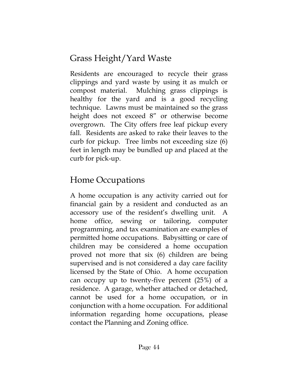## Grass Height/Yard Waste

Residents are encouraged to recycle their grass clippings and yard waste by using it as mulch or compost material. Mulching grass clippings is healthy for the yard and is a good recycling technique. Lawns must be maintained so the grass height does not exceed 8" or otherwise become overgrown. The City offers free leaf pickup every fall. Residents are asked to rake their leaves to the curb for pickup. Tree limbs not exceeding size (6) feet in length may be bundled up and placed at the curb for pick-up.

#### Home Occupations

A home occupation is any activity carried out for financial gain by a resident and conducted as an accessory use of the resident's dwelling unit. A home office, sewing or tailoring, computer programming, and tax examination are examples of permitted home occupations. Babysitting or care of children may be considered a home occupation proved not more that six (6) children are being supervised and is not considered a day care facility licensed by the State of Ohio. A home occupation can occupy up to twenty-five percent (25%) of a residence. A garage, whether attached or detached, cannot be used for a home occupation, or in conjunction with a home occupation. For additional information regarding home occupations, please contact the Planning and Zoning office.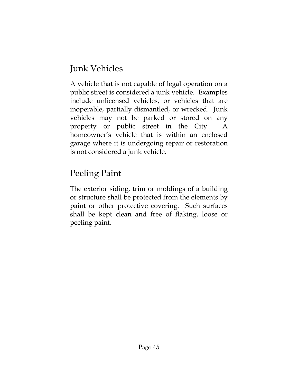## Junk Vehicles

A vehicle that is not capable of legal operation on a public street is considered a junk vehicle. Examples include unlicensed vehicles, or vehicles that are inoperable, partially dismantled, or wrecked. Junk vehicles may not be parked or stored on any property or public street in the City. A homeowner's vehicle that is within an enclosed garage where it is undergoing repair or restoration is not considered a junk vehicle.

#### Peeling Paint

The exterior siding, trim or moldings of a building or structure shall be protected from the elements by paint or other protective covering. Such surfaces shall be kept clean and free of flaking, loose or peeling paint.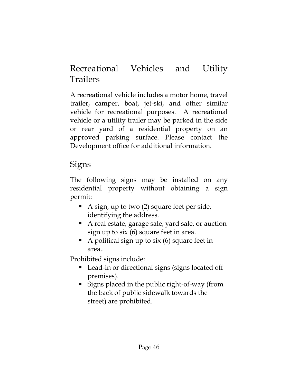#### Recreational Vehicles and Utility Trailers

A recreational vehicle includes a motor home, travel trailer, camper, boat, jet-ski, and other similar vehicle for recreational purposes. A recreational vehicle or a utility trailer may be parked in the side or rear yard of a residential property on an approved parking surface. Please contact the Development office for additional information.

#### Signs

The following signs may be installed on any residential property without obtaining a sign permit:

- A sign, up to two (2) square feet per side, identifying the address.
- A real estate, garage sale, yard sale, or auction sign up to six (6) square feet in area.
- A political sign up to six  $(6)$  square feet in area..

Prohibited signs include:

- Lead-in or directional signs (signs located off premises).
- Signs placed in the public right-of-way (from the back of public sidewalk towards the street) are prohibited.